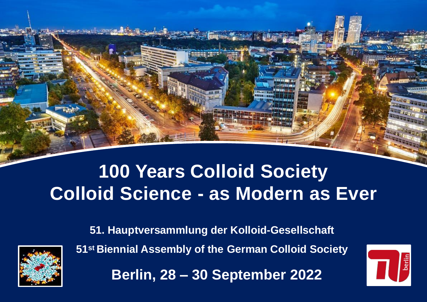**51. Hauptversammlung der Kolloid-Gesellschaft 51st Biennial Assembly of the German Colloid Society**



# **100 Years Colloid Society Colloid Science - as Modern as Ever**



**Berlin, 28 – 30 September 2022**